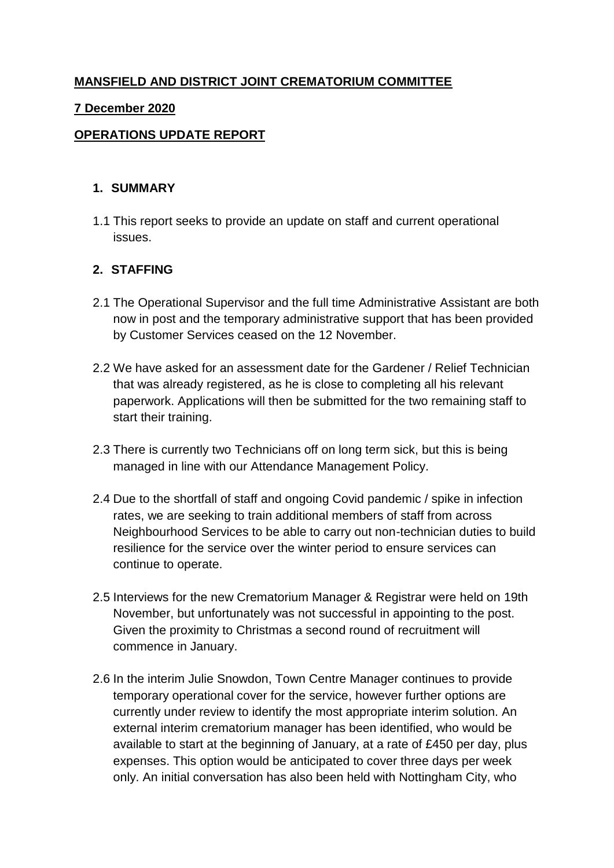# **MANSFIELD AND DISTRICT JOINT CREMATORIUM COMMITTEE**

#### **7 December 2020**

### **OPERATIONS UPDATE REPORT**

#### **1. SUMMARY**

1.1 This report seeks to provide an update on staff and current operational issues.

#### **2. STAFFING**

- 2.1 The Operational Supervisor and the full time Administrative Assistant are both now in post and the temporary administrative support that has been provided by Customer Services ceased on the 12 November.
- 2.2 We have asked for an assessment date for the Gardener / Relief Technician that was already registered, as he is close to completing all his relevant paperwork. Applications will then be submitted for the two remaining staff to start their training.
- 2.3 There is currently two Technicians off on long term sick, but this is being managed in line with our Attendance Management Policy.
- 2.4 Due to the shortfall of staff and ongoing Covid pandemic / spike in infection rates, we are seeking to train additional members of staff from across Neighbourhood Services to be able to carry out non-technician duties to build resilience for the service over the winter period to ensure services can continue to operate.
- 2.5 Interviews for the new Crematorium Manager & Registrar were held on 19th November, but unfortunately was not successful in appointing to the post. Given the proximity to Christmas a second round of recruitment will commence in January.
- 2.6 In the interim Julie Snowdon, Town Centre Manager continues to provide temporary operational cover for the service, however further options are currently under review to identify the most appropriate interim solution. An external interim crematorium manager has been identified, who would be available to start at the beginning of January, at a rate of £450 per day, plus expenses. This option would be anticipated to cover three days per week only. An initial conversation has also been held with Nottingham City, who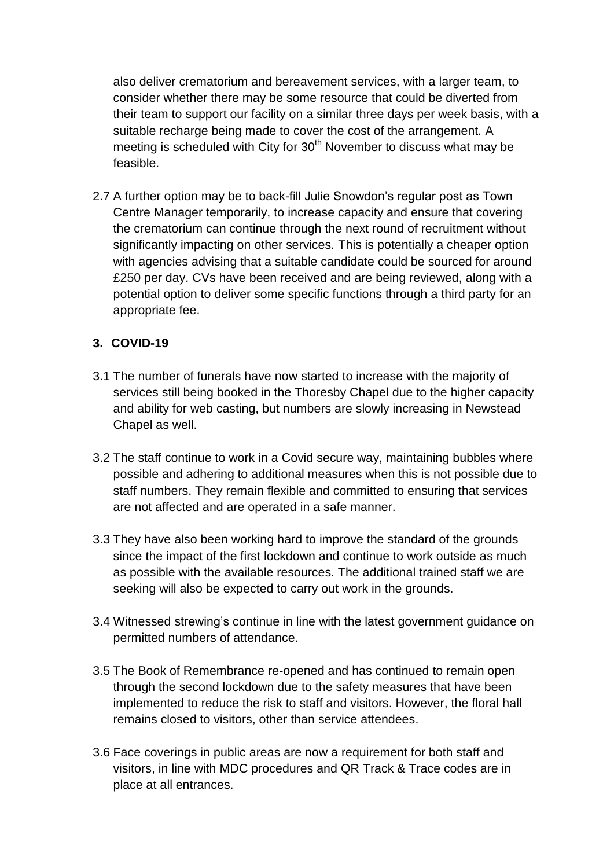also deliver crematorium and bereavement services, with a larger team, to consider whether there may be some resource that could be diverted from their team to support our facility on a similar three days per week basis, with a suitable recharge being made to cover the cost of the arrangement. A meeting is scheduled with City for 30<sup>th</sup> November to discuss what may be feasible.

2.7 A further option may be to back-fill Julie Snowdon's regular post as Town Centre Manager temporarily, to increase capacity and ensure that covering the crematorium can continue through the next round of recruitment without significantly impacting on other services. This is potentially a cheaper option with agencies advising that a suitable candidate could be sourced for around £250 per day. CVs have been received and are being reviewed, along with a potential option to deliver some specific functions through a third party for an appropriate fee.

## **3. COVID-19**

- 3.1 The number of funerals have now started to increase with the majority of services still being booked in the Thoresby Chapel due to the higher capacity and ability for web casting, but numbers are slowly increasing in Newstead Chapel as well.
- 3.2 The staff continue to work in a Covid secure way, maintaining bubbles where possible and adhering to additional measures when this is not possible due to staff numbers. They remain flexible and committed to ensuring that services are not affected and are operated in a safe manner.
- 3.3 They have also been working hard to improve the standard of the grounds since the impact of the first lockdown and continue to work outside as much as possible with the available resources. The additional trained staff we are seeking will also be expected to carry out work in the grounds.
- 3.4 Witnessed strewing's continue in line with the latest government guidance on permitted numbers of attendance.
- 3.5 The Book of Remembrance re-opened and has continued to remain open through the second lockdown due to the safety measures that have been implemented to reduce the risk to staff and visitors. However, the floral hall remains closed to visitors, other than service attendees.
- 3.6 Face coverings in public areas are now a requirement for both staff and visitors, in line with MDC procedures and QR Track & Trace codes are in place at all entrances.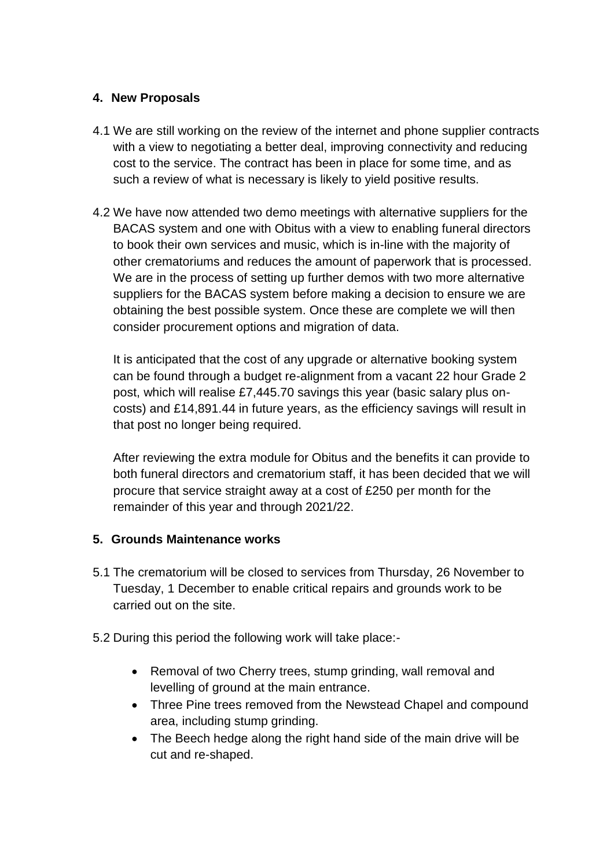### **4. New Proposals**

- 4.1 We are still working on the review of the internet and phone supplier contracts with a view to negotiating a better deal, improving connectivity and reducing cost to the service. The contract has been in place for some time, and as such a review of what is necessary is likely to yield positive results.
- 4.2 We have now attended two demo meetings with alternative suppliers for the BACAS system and one with Obitus with a view to enabling funeral directors to book their own services and music, which is in-line with the majority of other crematoriums and reduces the amount of paperwork that is processed. We are in the process of setting up further demos with two more alternative suppliers for the BACAS system before making a decision to ensure we are obtaining the best possible system. Once these are complete we will then consider procurement options and migration of data.

It is anticipated that the cost of any upgrade or alternative booking system can be found through a budget re-alignment from a vacant 22 hour Grade 2 post, which will realise £7,445.70 savings this year (basic salary plus oncosts) and £14,891.44 in future years, as the efficiency savings will result in that post no longer being required.

After reviewing the extra module for Obitus and the benefits it can provide to both funeral directors and crematorium staff, it has been decided that we will procure that service straight away at a cost of £250 per month for the remainder of this year and through 2021/22.

### **5. Grounds Maintenance works**

- 5.1 The crematorium will be closed to services from Thursday, 26 November to Tuesday, 1 December to enable critical repairs and grounds work to be carried out on the site.
- 5.2 During this period the following work will take place:-
	- Removal of two Cherry trees, stump grinding, wall removal and levelling of ground at the main entrance.
	- Three Pine trees removed from the Newstead Chapel and compound area, including stump grinding.
	- The Beech hedge along the right hand side of the main drive will be cut and re-shaped.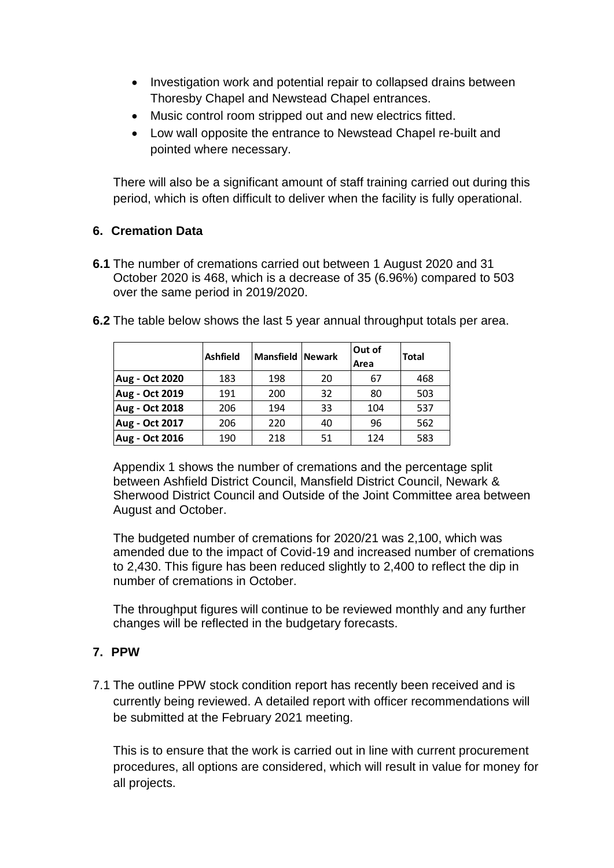- Investigation work and potential repair to collapsed drains between Thoresby Chapel and Newstead Chapel entrances.
- Music control room stripped out and new electrics fitted.
- Low wall opposite the entrance to Newstead Chapel re-built and pointed where necessary.

There will also be a significant amount of staff training carried out during this period, which is often difficult to deliver when the facility is fully operational.

## **6. Cremation Data**

**6.1** The number of cremations carried out between 1 August 2020 and 31 October 2020 is 468, which is a decrease of 35 (6.96%) compared to 503 over the same period in 2019/2020.

|                       | <b>Ashfield</b> | <b>Mansfield Newark</b> |    | Out of<br>Area | <b>Total</b> |
|-----------------------|-----------------|-------------------------|----|----------------|--------------|
| Aug - Oct 2020        | 183             | 198                     | 20 | 67             | 468          |
| Aug - Oct 2019        | 191             | 200                     | 32 | 80             | 503          |
| Aug - Oct 2018        | 206             | 194                     | 33 | 104            | 537          |
| Aug - Oct 2017        | 206             | 220                     | 40 | 96             | 562          |
| <b>Aug - Oct 2016</b> | 190             | 218                     | 51 | 124            | 583          |

**6.2** The table below shows the last 5 year annual throughput totals per area.

Appendix 1 shows the number of cremations and the percentage split between Ashfield District Council, Mansfield District Council, Newark & Sherwood District Council and Outside of the Joint Committee area between August and October.

The budgeted number of cremations for 2020/21 was 2,100, which was amended due to the impact of Covid-19 and increased number of cremations to 2,430. This figure has been reduced slightly to 2,400 to reflect the dip in number of cremations in October.

The throughput figures will continue to be reviewed monthly and any further changes will be reflected in the budgetary forecasts.

# **7. PPW**

7.1 The outline PPW stock condition report has recently been received and is currently being reviewed. A detailed report with officer recommendations will be submitted at the February 2021 meeting.

This is to ensure that the work is carried out in line with current procurement procedures, all options are considered, which will result in value for money for all projects.